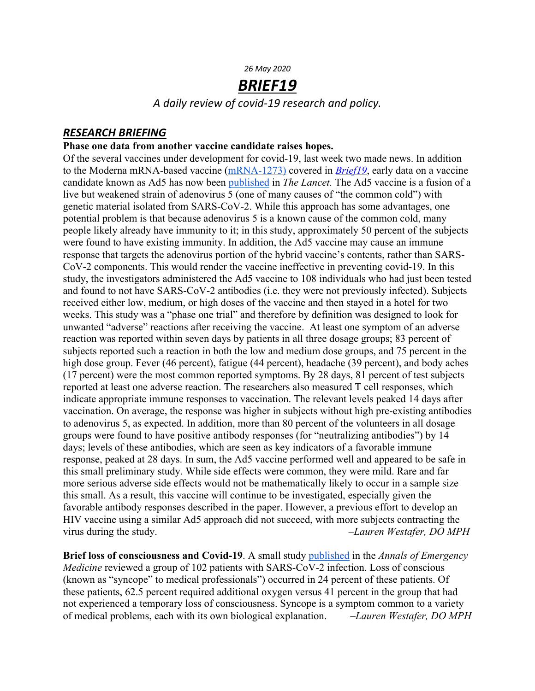#### *26 May 2020*

# *BRIEF19*

*A daily review of covid-19 research and policy.*

## *RESEARCH BRIEFING*

### **Phase one data from another vaccine candidate raises hopes.**

Of the several vaccines under development for covid-19, last week two made news. In addition to the Moderna mRNA-based vaccine (mRNA-1273) covered in *Brief19*, early data on a vaccine candidate known as Ad5 has now been published in *The Lancet.* The Ad5 vaccine is a fusion of a live but weakened strain of adenovirus 5 (one of many causes of "the common cold") with genetic material isolated from SARS-CoV-2. While this approach has some advantages, one potential problem is that because adenovirus 5 is a known cause of the common cold, many people likely already have immunity to it; in this study, approximately 50 percent of the subjects were found to have existing immunity. In addition, the Ad5 vaccine may cause an immune response that targets the adenovirus portion of the hybrid vaccine's contents, rather than SARS-CoV-2 components. This would render the vaccine ineffective in preventing covid-19. In this study, the investigators administered the Ad5 vaccine to 108 individuals who had just been tested and found to not have SARS-CoV-2 antibodies (i.e. they were not previously infected). Subjects received either low, medium, or high doses of the vaccine and then stayed in a hotel for two weeks. This study was a "phase one trial" and therefore by definition was designed to look for unwanted "adverse" reactions after receiving the vaccine. At least one symptom of an adverse reaction was reported within seven days by patients in all three dosage groups; 83 percent of subjects reported such a reaction in both the low and medium dose groups, and 75 percent in the high dose group. Fever (46 percent), fatigue (44 percent), headache (39 percent), and body aches (17 percent) were the most common reported symptoms. By 28 days, 81 percent of test subjects reported at least one adverse reaction. The researchers also measured T cell responses, which indicate appropriate immune responses to vaccination. The relevant levels peaked 14 days after vaccination. On average, the response was higher in subjects without high pre-existing antibodies to adenovirus 5, as expected. In addition, more than 80 percent of the volunteers in all dosage groups were found to have positive antibody responses (for "neutralizing antibodies") by 14 days; levels of these antibodies, which are seen as key indicators of a favorable immune response, peaked at 28 days. In sum, the Ad5 vaccine performed well and appeared to be safe in this small preliminary study. While side effects were common, they were mild. Rare and far more serious adverse side effects would not be mathematically likely to occur in a sample size this small. As a result, this vaccine will continue to be investigated, especially given the favorable antibody responses described in the paper. However, a previous effort to develop an HIV vaccine using a similar Ad5 approach did not succeed, with more subjects contracting the virus during the study. *–Lauren Westafer, DO MPH*

**Brief loss of consciousness and Covid-19**. A small study published in the *Annals of Emergency Medicine* reviewed a group of 102 patients with SARS-CoV-2 infection. Loss of conscious (known as "syncope" to medical professionals") occurred in 24 percent of these patients. Of these patients, 62.5 percent required additional oxygen versus 41 percent in the group that had not experienced a temporary loss of consciousness. Syncope is a symptom common to a variety of medical problems, each with its own biological explanation. *–Lauren Westafer, DO MPH*